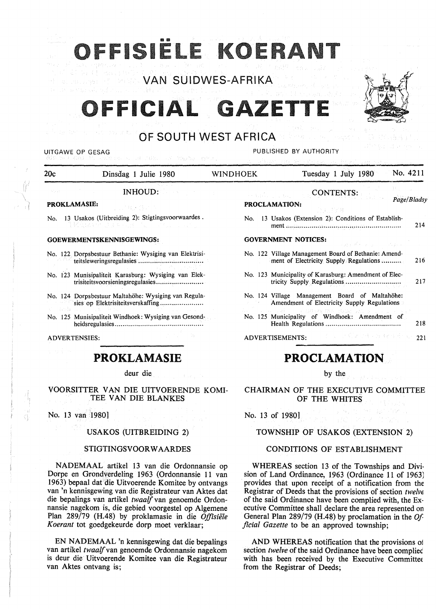# 1SIËLE KOEI

VAN SUIDWES-AFRIKA

# OFFICIAL GAZETTE



# OF SOUTH WEST AFRICA

UITGAWE OP GESAG **PUBLISHED BY AUTHORITY** 

INHOUD:

#### **PROKLAMASIE:**

No. 13 Usakos (Uitbreiding 2): Stigtingsvoorwaardes .

#### **GOEWERMENTSKENNISGEWINGS:**

- No. 122 Dorpsbestuur Bethanie: Wysiging van Elektrisiteitsleweringsregulasies ................................ .
- No. 123 Munisipaliteit Karasburg: Wysiging van Elektrisiteitsvoorsieningsregulasies ....................... .
- No. 124 Dorpsbestuur Maltahöhe: Wysiging van Regulasies op Elektrisiteitsverskaffing ..................... .
- No. 125 Munisipaliteit Windhoek: Wysiging van Gesondheidsregulasies ............................................ .

ADVERTENSIES:

# **PROKLAMASIE**

deur die

#### **VOORSITTER VAN DIE** UITVOERENDE **KOMI-**TEE **VAN DIE BLANKES**

No. 13 van 1980]

### **USAKOS (UITBREIDING 2)**

#### **STIGTINGSVOORW AARDES**

**NADEMAAL** artikel 13 van die Ordonnansie op Dorpe en Grondverdeling 1963 (Ordonnansie 11 van 1963) bepaal dat die Uitvoerende Komitee by ontvangs van 'n kennisgewing van die Registrateur van Aktes dat die bepalings van artikel *twaalf* van genoemde Ordonnansie nagekom is, die gebied voorgestel op Algemene Plan 289/79 (H.48) by proklamasie in die *Offisiele Koerant* tot goedgekeurde dorp moet verklaar;

EN NADEMAAL 'n kennisgewing dat die bepalings van artikel *twaalf* van genoemde Ordonnansie nagekom is deur die Uitvoerende Komitee van die Registrateur van Aktes ontvang is;

20c Dinsdag 1 Julie 1980 WINDHOEK Tuesday 1 July 1980 No. 4211 CONTENTS: **PROCLAMATION:** *Page/Bladsy* 

- No. 13 Usakos (Extension 2): Conditions of Establish
	- ment.......................................................... 214

### **GOVERNMENT NOTICES:**

- No. 122 Village Management Board of Bethanie: Amendment of Electricity Supply Regulations.......... 216
- No. 123 Municipality of Karasburg: Amendment of Electricity Supply Regulations .... ...... .... . .... .. .... .. . 217
- No. 124 Village Management Board of Maltahöhe: Amendment of Electricity Supply Regulations
- No. 125 Municipality of Windhoek: Amendment of Health Regulations...................................... 218

ADVERTISEMENTS: 221

# **PROCLAMATION**

by the

CHAIRMAN OF THE EXECUTIVE COMMITTEE OF THE WHITES

No. 13 of 1980]

#### TOWNSHIP OF USAKOS (EXTENSION 2)

#### **CONDITIONS OF ESTABLISHMENT**

**WHEREAS** section 13 of the Townships and Division of Land Ordinance, 1963 (Ordinance 11 of 1963) provides that upon receipt of a notification from the Registrar of Deeds that the provisions of section *twelve*  of the said Ordinance have been complied with, the Executive Committee shall declare the area represented on General Plan 289/79 (H.48) by proclamation in the *Of ficial Gazette* to be an approved township;

AND WHEREAS notification that the provisions of section *twelve* of the said Ordinance have been compliec with has been received by the Executive Committee from the Registrar of Deeds;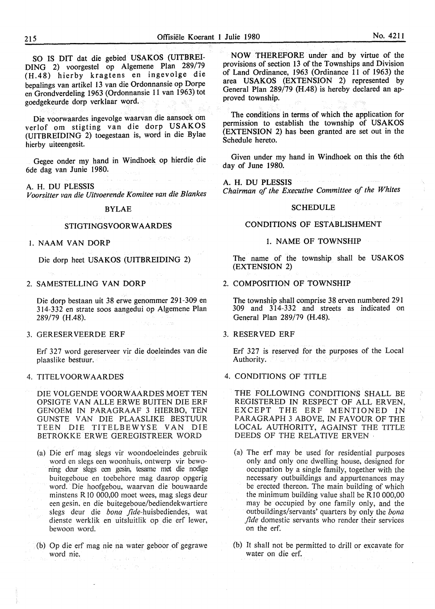SO IS DIT dat die gebied USAKOS (UITBREI-DING 2) voorgestel op Algemene Plan 289/79 (H.48) hierby kragtens en ingevolge die bepalings van artikel 13 van die Ordonnansie op Dorpe en Grondverdeling 1963 (Ordonnansie 11 van 1963) tot goedgekeurde dorp verklaar word.

Die voorwaardes ingevolge waarvan die aansoek om verlof om stigting van die dorp **USAKOS**  (UITBREIDING 2) toegestaan is, word in die Bylae hierby uiteengesit.

Gegee onder my hand in Windhoek op hierdie die 6de dag van Junie 1980.

A. H. DU PLESSIS

*Voorsitter van die Uitvoerende Komitee van die Blankes* 

#### **BYLAE**

#### **STIGTINGSVOOR W AARDES**

I. NAAM VAN DORP

Die dorp heet USAKOS (UITBREIDING 2)

#### 2. SAMESTELLING **VAN DORP**

Die dorp bestaan uit 38 erwe genommer 291-309 en 3 I 4-3 3 2 en strate soos aangedui op Algemene Plan 289/79 (H.48).

#### 3. GERESERVEERDE ERF

Erf 327 word gereserveer vir die doeleindes van die plaaslike bestuur.

#### 4. TITELVOORWAARDES

DIE VOLGENDE VOORWAARDES MOET TEN OPSIGTE VAN ALLE ERWE BUITEN DIE ERF GENOEM IN PARAGRAAF 3 HIERBO, TEN GUNSTE VAN DIE PLAASLIKE BESTUUR TEEN DIE TITELBEWYSE VAN DIE BETROKKE ERWE GEREGISTREER WORD

- (a) Die erf mag slegs vir woondoeleindes gebruik word en slegs een woonhuis, ontwerp vir bewoning deur slegs een gesin, tesame met die nodige buitegeboue en toebehore mag daarop opgerig word. Die hoofgebou, waarvan die bouwaarde minstens R IO 000,00 moet wees, mag slegs deur een gesin, en die buitegeboue/bediendekwartiere slegs deur die *bona* fide-huisbediendes, wat dienste werklik en uitsluitlik op die erf Iewer, bewoon word.
- (b) Op die erf mag nie na water geboor of gegrawe word nie.

Partiti Peri

**NOW THEREFORE under and by virtue of the provisions of section 13 of the Townships and Division of Land Ordinance, 1963 (Ordinance 11 of 1963) the area USAKOS (EXTENSION 2) represented by General Plan 289/79 (H.48) is hereby declared an approved township.** 

**The conditions in terms of which the application for permission to establish the township of USAKOS (EXTENSION 2) has been granted are set out in the Schedule hereto.** 

**Given under my hand in Windhoek on this the 6th day of June 1980.** 

**A.H. DU PLESSIS**  *Chairman of the Executive Committee of the Whites* 

#### **SCHEDULE**

#### **CONDITIONS OF ESTABLISHMENT**

#### **1. NAME OF TOWNSHIP**

The name of the township shall be USAKOS **(EXTENSION 2)** 

#### **2. COMPOSITION OF TOWNSHIP**

**The township shall comprise 38 erven numbered 291 309 and 314-332 and streets as indicated on General Plan 289/79 (H.48).** 

#### **3. RESERVED ERF**

Erf **327 is reserved for the purposes of** the Local **Authority.** 

#### 4. **CONDITIONS OF TITLE**

THE **FOLLOWING CONDITIONS SHALL BE REGISTERED IN RESPECT OF** ALL ERVEN, EXCEPT THE ERF MENTIONED IN **PARA GRAPH** 3 ABOVE, IN FAVOUR OF THE LOCAL AUTHORITY, AGAINST THE TITLE DEEDS **OF** THE RELATIVE ERVEN ·

- (a) The erf may be used for residential purposes only and only one dwelling house, designed for occupation by a single family, together with the necessary outbuildings and appurtenances may be erected thereon. The main building of which the minimum building value shall be RIO 000,00 may be occupied by one family only, and the outbuildings/servants' quarters by only the *bona fide* domestic servants who render their services on the erf.
- (b) It shall not be permitted to drill or excavate for water on die erf.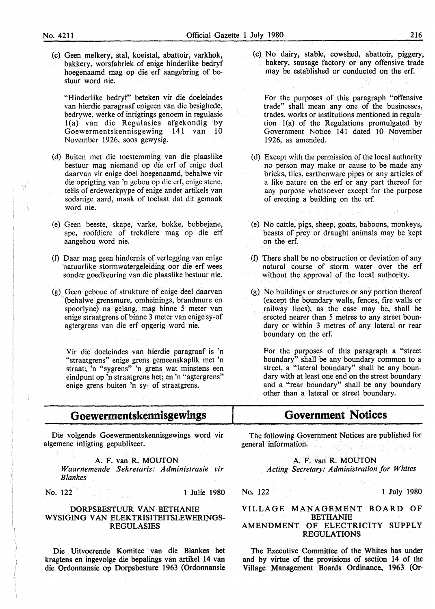Ý

(c) Geen melkery, stal, koeistal, abattoir, varkhok, bakkery, worsfabriek of enige hinderlike bedryf hoegenaamd mag op die erf aangebring of bestuur word nie.

"Hinderlike bedryf' beteken vir die doeleindes van hierdie paragraaf enigeen van die besighede, bedrywe, werke of inrigtings genoem in regulasie l(a) van die Regulasies afgekondig by Goewermentskennisgewing 141 van 10 November 1926, soos gewysig.

- (d) Buiten met die toestemming van die plaaslike bestuur mag niemand op die erf of enige deel daarvan vir enige doel hoegenaamd, behalwe vir die oprigting van 'n gebou op die erf, enige stene, teels of erdewerkpype of enige ander artikels van sodanige aard, maak of toelaat dat dit gemaak word nie.
- (e) Geen beeste, skape, varke, bokke, bobbejane, ape, roofdiere of trekdiere mag op die erf aangehou word nie.
- (f) Daar mag geen hindernis of verlegging van enige natuurlike stormwatergeleiding oor die erf wees sonder goedkeuring van die plaaslike bestuur nie.
- (g) Geen geboue of strukture of enige deel daarvan (behalwe grensmure, omheinings, brandmure en spoorlyne) na gelang, mag binne 5 meter van enige straatgrens of binne 3 meter van enige sy-of agtergrens van die erf opgerig word nie.

Vir die doeleindes van hierdie paragraaf is 'n "straatgrens" enige grens gemeenskaplik met 'n straat; 'n "sygrens" 'n grens wat minstens een eindpunt op 'n straatgrens het; en 'n "agtergrens" enige grens buiten 'n sy- of straatgrens.

# **Goewermentskennisgewings**

Die volgende Goewermentskennisgewings word vir algemene inligting gepubliseer.

A. F. van **R. MOUTON**  *Waarnemende Sekretaris: Administrasie vir Blankes* 

No. 122 1 Julie 1980

#### DORPSBESTUUR VAN BETHANIE **WYSIGING VAN** ELEKTRISITEITSLEWERINGS-REGULASIES

Die Uitvoerende Komitee van die Blankes bet kragtens en ingevolge die bepalings van artikel 14 van die Ordonnansie op Dorpsbesture 1963 (Ordonnansie (c) No dairy, stable, cowshed, abattoir, piggery, bakery, sausage factory or any offensive trade may be established or conducted on the erf.

For the purposes of this paragraph "offensive trade" shall mean any one of the businesses, trades, works or institutions mentioned in regulation l(a) of the Regulations promulgated by Government Notice 141 dated 10 November 1926, as amended.

- (d) Except with the permission of the local authority no person may make or cause to be made any bricks, tiles, earthenware pipes or any articles of a like nature on the erf or any part thereof for any purpose whatsoever except for the purpose of erecting a building on the erf.
- (e) No cattle, pigs, sheep, goats, baboons, monkeys, beasts of prey or draught animals may be kept on the erf.
- (f) There shall be no obstruction or deviation of any natural course of storm water over the erf without the approval of the local authority.
- (g) No buildings or structures or any portion thereof ( except the boundary walls, fences, fire walls or railway lines), as the case may be, shall be erected nearer than 5 metres to any street boundary or within 3 metres of any lateral or rear boundary on the erf.

For the purposes of this paragraph a "street boundary" shall be any boundary common to a street, a "lateral boundary" shall be any boundary with at least one end on the street boundary and a "rear boundary" shall be any boundary other than a lateral or street boundary.

# **Government Notices**

The following Government Notices are published for general information.

A. F. van R. MOUTON

*Acting Secretary: Administration for Whites* 

No. 122 1 July 1980

#### VILLAGE MANAGEMENT BOARD OF BETHANIE AMENDMENT OF ELECTRICITY SUPPLY **REGULATIONS**

The Executive Committee of the Whites has under and by virtue of the provisions of section 14 of the Village Management Boards Ordinance, 1963 (Or-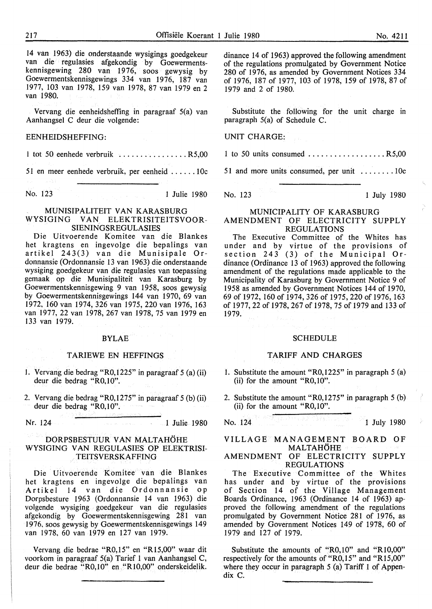14 van 1963) die onderstaande wysigings goedgekeur van die regulasies afgekondig by Goewermentskennisgewing 280 van 1976, soos gewysig by Goewermentskennisgewings 334 van 1976, 187 van 1977, 103 van 1978, 159 van 1978, 87 van 1979 en 2 van 1980.

Vervang die eenheidsheffing in paragraaf 5(a) van Aanhangsel C deur die volgende:

#### EENHEIDSHEFFING:

l tot 50 eenhede verbruik ................ R5,00

51 en meer eenhede verbruik, per eenheid ...... 1 0c

No. 123 1 Julie 1980

#### MUNISIPALITEIT VAN KARASBURG WYSIGING VAN ELEKTRISITEITSVOOR-SIENINGSREGULASIES

Die Uitvoerende Komitee van die Blankes het kragtens en ingevolge die bepalings van artikel 243(3) van die Munisipale Ordonnansie (Ordonnansie 13 van 1963) die onderstaande wysiging goedgekeur van die regulasies van toepassing gemaak op die Munisipaliteit van Karasburg by Goewermentskennisgewing 9 van 1958, soos gewysig by Goewermentskennisgewings 144 van 1970, 69 van 1972, 160 van 1974, 326 van 1975, 220 van 1976, 163 van 1977, 22 van 1978, 267 van 1978, 75 van 1979 en 133 van 1979.

#### BYLAE

#### TARIEWE EN HEFFINGS

- 1. Vervang die bedrag "R0,1225" in paragraaf 5 (a) (ii) deur die bedrag "R0,10".
- 2. Vervang die bedrag "R0,1275" in paragraaf 5 (b) (ii) deur die bedrag "R0,10".

Nr. 124 1 Julie 1980

#### DORPSBESTUUR VAN MALTAHOHE WYSIGING VAN REGULASIES OP ELEKTRISI-TEITSVERSKAFFING

Die Uitvoerende Komitee van die Blankes het kragtens en ingevolge die bepalings van Artikel 14 van die Ordonnansie op Dorpsbesture 1963 (Ordonnansie 14 van 1963) die volgende wysiging goedgekeur van die regulasies afgekondig by Goewermentskennisgewing 281 van 1976, soos gewysig by Goewermentskennisgewings 149 van 1978, 60 van 1979 en 127 van 1979.

Vervang die bedrae "R0,15" en "Rl5,00" waar dit voorkom in paragraaf 5(a) Tarief 1 van Aanhangsel C, deur die bedrae "RO, 10" en "R 10,00" onderskeidelik.

dinance 14 of 1963) approved the following amendment of the regulations promulgated by Government Notice 280 of 1976, as amended by Government Notices 334 of 1976, 187 of 1977, 103 of 1978, 159 of 1978, 87 of 1979 and 2 of 1980.

Substitute the following for the unit charge in paragraph 5(a) of Schedule C.

UNIT CHARGE:

1 to 50 units consumed  $\dots \dots \dots \dots \dots \dots$  R5,00

51 and more units consumed, per unit  $\dots \dots \dots 10c$ 

No. 123 1 July 1980

#### MUNICIPALITY OF KARASBURG AMENDMENT OF ELECTRICITY SUPPLY REGULATIONS

The Executive Committee of the Whites has under and by virtue of the provisions of section 243 (3) of the Municipal Ordinance (Ordinance 13 of 1963) approved the following amendment of the regulations made applicable to the Municipality of Karasburg by Government Notice 9 of 1958 as amended by Government Notices 144 of 1970, 69 of 1972, 160 of 1974, 326 of 1975, 220 of 1976, 163 of 1977, 22 of 1978, 267 of 1978, 75 of 1979 and 133 of 1979.

#### **SCHEDULE**

#### TARIFF AND CHARGES

- 1. Substitute the amount "R0,1225" in paragraph 5 (a) (ii) for the amount "R0,10".
- 2. Substitute the amount "R0,1275" in paragraph 5 (b) (ii) for the amount "R0,10".

No. 124 1 July 1980

#### VILLAGE MANAGEMENT BOARD OF MALTAHOHE

#### AMENDMENT OF ELECTRICITY SUPPLY **REGULATIONS**

The Executive Committee of the Whites has under and by virtue of the provisions of Section 14 of the Village Management Boards Ordinance, 1963 (Ordinance 14 of 1963) approved the following amendment of the regulations promulgated by Government Notice 281 of 1976, as amended by Government Notices 149 of 1978, 60 of 1979 and 127 of 1979.

Substitute the amounts of "R0,10" and "RI0,00" respectively for the amounts of "R0,15" and "R15,00" where they occur in paragraph 5 (a) Tariff 1 of Appendix C.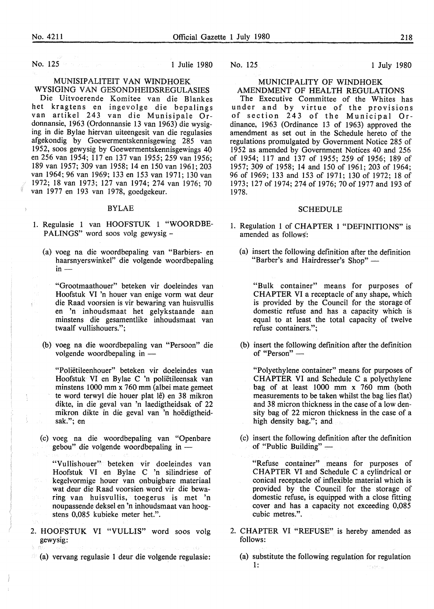No. 125 **1 Julie 1980** 

### MUNISIPALITEIT VAN WINDHOEK

WYSIGING VAN GESONDHEIDSREGULASIES Die Uitvoerende Komitee van die Blankes het kragtens en ingevolge die bepalings van artikel 243 van die Munisipale Ordonnansie, 1963 (Ordonnansie 13 van 1963) die wysiging in die Bylae hiervan uiteengesit van die regulasies afgekondig by Goewermentskennisgewing 285 van 1952, soos gewysig by Goewermentskennisgewings 40 en 256 van 1954; 117 en 137 van 1955; 259 van 1956; 189 van 1957; 309 van 1958; 14 en 150 van 1961; 203 van 1964; 96 van 1969; 133 en 153 van 1971; 130 van 1972; 18 van 1973; 127 van 1974; 274 van 1976; 70 van 1977 en 193 van 1978, goedgekeur.

#### BYLAE

- I. Regulasie 1 van HOOFSTUK 1 "WOORDBE-PALINGS" word soos volg gewysig -
	- (a) voeg na die woordbepaling van "Barbiers- en haarsnyerswinkel" die volgende woordbepaling<br>in —

"Grootmaathouer" beteken vir doeleindes van Hoofstuk VI 'n houer van enige vorm wat deur die Raad voorsien is vir bewaring van huisvullis en 'n inhoudsmaat het gelykstaande aan minstens die gesamentlike inhoudsmaat van twaalf vullishouers.";

(b) voeg na die woordbepaling van "Persoon" die volgende woordbepaling in -

"Polietileenhouer" beteken vir doeleindes van Hoofstuk VI en Bylae C 'n polietileensak van minstens 1000 mm x 760 mm (albei mate gemeet te word terwyl die houer plat lê) en 38 mikron dikte, in die geval van 'n laedigtheidsak of 22 mikron dikte in die geval van 'n hoedigtheidsak."; en

(c) voeg na die woordbepaling van "Openbare gebou" die volgende woordbepaling in -

"Vullishouer" beteken vir doeleindes van Hoofstuk VI en Bylae C 'n silindriese of kegelvormige houer van onbuigbare materiaal wat deur die Raad voorsien word vir die bewaring van huisvullis, toegerus is met 'n noupassende deksel en 'n inhoudsmaat van hoogstens 0,085 kubieke meter het.".

- 2. HOOFSTUK VI "VULLIS" word soos volg gewysig:
- $\mathbb{R}$  (a) vervang regulasie 1 deur die volgende regulasie:

#### MUNICIPALITY OF WINDHOEK

#### AMENDMENT OF HEALTH REGULATIONS

The Executive Committee of the Whites has under and by virtue of the provisions of section 243 of the Municipal Ordinance, 1963 (Ordinance 13 of 1963) approved the amendment as set out in the Schedule hereto of the regulations promulgated by Government Notice 285 of 1952 as amended by Government Notices 40 and 256 of 1954; 117 and 137 of 1955; 259 of 1956; 189 of 1957; 309 of 1958; 14 and 150 of 1961; 203 of 1964; 96 of 1969; 133 and 153 of 1971; 130 of 1972; 18 of 1973; 127 of 1974; 274 of 1976; 70 of 1977 and 193 of 1978.

#### SCHEDULE

- I. Regulation 1 of CHAPTER 1 "DEFINITIONS" is amended as follows:
	- (a) insert the following definition after the definition "Barber's and Hairdresser's Shop" -

"Bulk container" means for purposes of CHAPTER VI a receptacle of any shape, which is provided by the Council for the storage of domestic refuse and has a capacity which is equal to at least the total capacity of twelve refuse containers.";

(b) insert the following definition after the definition of "Person" -

"Polyethylene container" means for purposes of CHAPTER VI and Schedule C a polyethylene bag of at least  $1000$  mm x  $760$  mm (both measurements to be taken whilst the bag lies flat) and 38 micron thickness in the case of a low density bag of 22 micron thickness in the case of a high density bag."; and

(c) insert the following definition after the definition of "Public Building" —

"Refuse container" means for purposes of CHAPTER VI and Schedule C a cylindrical or conical receptacle of inflexible material which is provided by the Council for the storage of domestic refuse, is equipped with a close fitting cover and has a capacity not exceeding 0,085 cubic metres.".

- 2. CHAPTER VI "REFUSE" is hereby amended as follows:
	- (a) substitute the following regulation for regulation 1: faafrw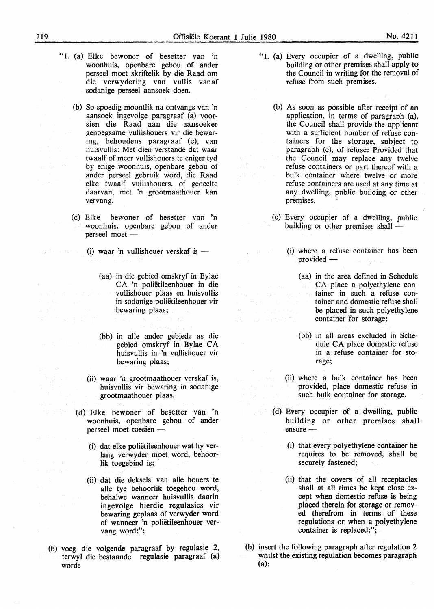- "1. (a) Elke bewoner of besetter van 'n woonhuis, openbare gebou of ander perseel moet skriftelik by die Raad om die verwydering van vullis vanaf sodanige perseel aansoek doen.
	- (b) So spoedig moontlik na ontvangs van 'n aansoek ingevolge paragraaf (a) voorsien die Raad aan die aansoeker genoegsame vullishouers vir die bewaring, behoudens paragraaf (c), van huisvullis: Met dien verstande dat waar twaalf of meer vullishouers te eniger tyd by enige woonhuis, openbare gebou of ander perseel gebruik word, die Raad elke twaalf vullishouers, of gedeelte daarvan, met 'n grootmaathouer kan vervang.
	- (c) Elke bewoner of besetter van 'n woonhuis, openbare gebou of ander perseel moet -
		- (i) waar 'n vullishouer verskaf is  $-$ 
			- (aa) in die gebied omskryf in Bylae CA 'n polietileenhouer in die vullishouer plaas en huisvullis in sodanige polietileenhouer vir bewaring plaas;
			- (bb) in alle ander gebiede as die gebied omskryf in Bylae CA huisvullis in 'n vullishouer vir bewaring plaas;
		- (ii) waar 'n grootmaathouer verskaf is, huisvullis vir bewaring in sodanige grootmaathouer plaas.
		- (d) Elke bewoner of besetter van 'n woonhuis, openbare gebou of ander perseel moet toesien -
			- (i) dat elke polietileenhouer wat hy verlang verwyder moet word, behoorlik toegebind is;
			- (ii) dat die deksels van alle houers te alle tye behoorlik toegehou word, behalwe wanneer huisvullis daarin ingevolge hierdie regulasies vir bewaring geplaas of verwyder word of wanneer 'n polietileenhouer vervang word;";
- (b) voeg die volgende paragraaf by regulasie 2, terwyl die bestaande regulasie paragraaf (a) word:
- "1. (a) Every occupier of a dwelling, public building or other premises shall apply to the Council in writing for the removal of refuse from such premises.
	- (b) As soon as possible after receipt of an application, in terms of paragraph (a), the Council shall provide the applicant with a sufficient number of refuse containers for the storage, subject to paragraph (c), of refuse: Provided that the Council may replace any twelve refuse containers or part thereof with a bulk container where twelve or more refuse containers are used at any time at any dwelling, public building or other premises.
	- (c) Every occupier of a dwelling, public building or other premises shall -
		- (i) where a refuse container has been  $provided -$ 
			- (aa) in the area defined in Schedule CA place a polyethylene container in such a refuse container and domestic refuse shall be placed in such polyethylene container for storage;
			- (bb) in all areas excluded in Schedule CA place domestic refuse in a refuse container for storage;
		- (ii) where a bulk container has been provided, place domestic refuse in such bulk container for storage.
	- (d) Every occupier of a dwelling, public building or other premises shall ensure -
		- (i) that every polyethylene container he requires to be removed, shall be securely fastened;
		- (ii) that the covers of all receptacles shall at all times be kept close except when domestic refuse is being placed therein for storage or removed therefrom in terms of these regulations or when a polyethylene container is replaced;";
- (b) insert the following paragraph after regulation 2 whilst the existing regulation becomes paragraph (a):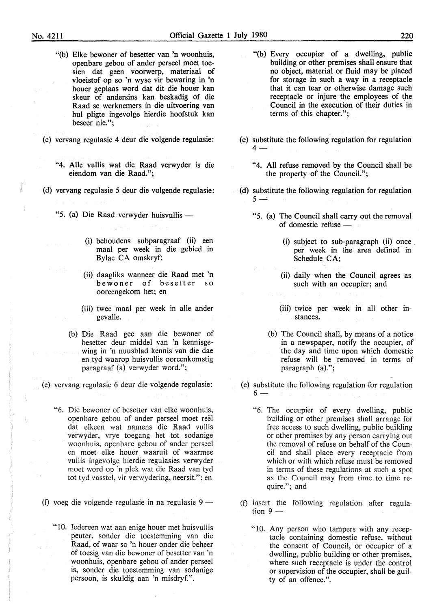- "(b) Elke bewoner of besetter van 'n woonhuis, openbare gebou of ander perseel moet toesien dat geen voorwerp, materiaal of vloeistof op so 'n wyse vir bewaring in 'n houer geplaas word dat dit die houer kan skeur of andersins kan beskadig of die Raad se werknemers in die uitvoering van hul pligte ingevolge hierdie hoofstuk kan beseer nie.";
- (c) vervang regulasie 4 deur die volgende regulasie:
	- "4. Aile vullis wat die Raad verwyder is die eiendom van die Raad.";
- (d) vervang regulasie 5 deur die volgende regulasie:
	- "5. (a) Die Raad verwyder huisvullis -
		- (i) behoudens subparagraaf (ii) een maal per week in die gebied in Bylae CA omskryf;
		- (ii) daagliks wanneer die Raad met 'n bewoner of besetter so ooreengekom het; en
		- (iii) twee maal per week in alle ander gevalle.
		- (b) Die Raad gee aan die bewoner of besetter deur middel van 'n kennisgewing in 'n nuusblad kennis van die dae en tyd waarop huisvullis ooreenkomstig paragraaf (a) verwyder word.";

(e) vervang regulasie 6 deur die volgende regulasie:

- "6. Die bewoner of besetter van elke woonhuis, openbare gebou of ander perseel moet reël dat elkeen wat namens die Raad vullis verwyder, vrye toegang het tot sodanige woonhuis, openbare gebou of ander perseel en moet elke houer waaruit of waarmee vullis ingevolge hierdie regulasies verwyder moet word op 'n plek wat die Raad van tyd tot tyd vasstel, vir verwydering, neersit."; en
- (f) voeg die volgende regulasie in na regulasie  $9 -$ 
	- "10. Iedereen wat aan enige houer met huisvullis peuter, sonder die toestemming van die Raad, of waar so 'n houer onder die beheer of toesig van die bewoner of besetter van 'n woonhuis, openbare gebou of ander perseel is, sonder die toestemming van sodanige persoon, is skuldig aan 'n misdryf.".
- "(b) Every occupier of a dwelling, public building or other premises shall ensure that no object, material or fluid may be placed for storage in such a way in a receptacle that it can tear or otherwise damage such receptacle or injure the employees of the Council in the execution of their duties in terms of this chapter.";
- (c) substitute the following regulation for regulation  $4-$ 
	- "4. All refuse removed by the Council shall be the property of the Council.";
- (d) substitute the following regulation for regulation  $5 -$ 
	- "5. (a) The Council shall carry out the removal of domestic refuse -
		- (i) subject to sub-paragraph (ii) once per week in the area defined in Schedule CA;
		- (ii) daily when the Council agrees as such with an occupier; and
		- (iii) twice per week in all other instances.
		- (b) The Council shall, by means of a notice in a newspaper, notify the occupier, of the day and time upon which domestic refuse will be removed in terms of paragraph (a).";
- (e) substitute the following regulation for regulation  $6 -$ 
	- "6. The occupier of every dwelling, public building or other premises shall arrange for free access to such dwelling, public building or other premises by any person carrying out the removal of refuse on behalf of the Council and shall place every receptacle from which or with which refuse must be removed in terms of these regulations at such a spot as the Council may from time to time require."; and
- (f) insert the following regulation after regulation  $9 -$ 
	- " 10. Any person who tampers with any receptacle containing domestic refuse, without the consent of Council, or occupier of a dwelling, public building or other premises, where such receptacle is under the control or supervision of the occupier, shall be guilty of an offence.".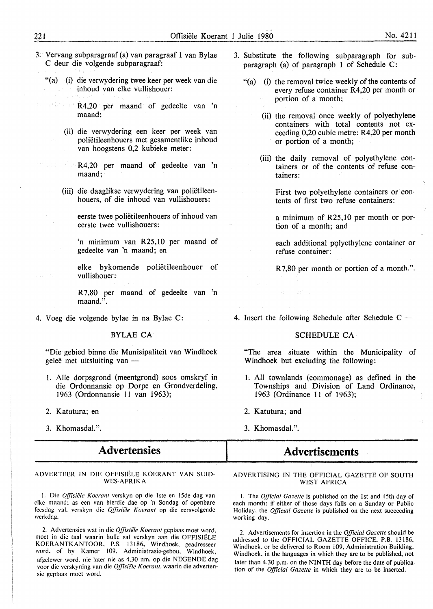- 3. Vervang subparagraaf (a) van paragraaf 1 van Bylae C deur die volgende subparagraaf:
	- "(a) (i) die verwydering twee keer per week van die inhoud van elke vullishouer:
		- R4,20 per maand of gedeelte van 'n maand;
		- (ii) die verwydering een keer per week van polietileenhouers met gesamentlike inhoud van hoogstens 0,2 kubieke meter:
			- R4,20 per maand of gedeelte van 'n maand;
		- (iii) die daaglikse verwydering van polietileenhouers, of die inhoud van vullishouers:

eerste twee polietileenhouers of inhoud van eerste twee vullishouers:

'n minimum van R25,10 per maand of gedeelte van 'n maand; en

elke bykomende polietileenhouer of vullishouer:

R 7,80 per maand of gedeelte van 'n maand.".

4. Voeg die volgende bylae in na Bylae C:

#### BYLAE CA

"Die gebied binne die Munisipaliteit van Windhoek geleë met uitsluiting van

- l. Aile dorpsgrond (meentgrond) soos omskryf in die Ordonnansie op Dorpe en Grondverdeling, 1963 (Ordonnansie 11 van 1963);
- 2. Katutura; en
- 3. Khomasdal.".

## **Advertensies**

#### ADVERTEER IN DIE OFFISIELE KOERANT VAN SUID-WES-AFRIKA

1. Die *Offisiële Koerant* verskyn op die 1ste en 15de dag van clkc maand: as ecn van hierdie dae op ·n Sondag of openbare feesdag val. verskyn die *Offisiële Koerant* op die eersvolgende wcrkdag.

2. Advertensies wat in die Offisiële Koerant geplaas moet word, moct in die taal waarin hulle sal verskyn aan die OFFISIELE KOERANTKANTOOR. P.S. 13186. Windhoek. geadresseer word. of by Kamer 109. Administrasie-gebou. Windhoek. afgclewer word. nie later nie as 4.30 nm. op die NEGENDE dag voor die verskyning van die Offisiële Koerant, waarin die advertensic gcplaas moet word.

- 3. Substitute the following subparagraph for subparagraph (a) of paragraph 1 of Schedule C:
	- "(a) (i) the removal twice weekly of the contents of every refuse container R4,20 per month or portion of a month;
		- (ii) the removal once weekly of polyethylene containers with total contents not exceeding 0,20 cubic metre: R4,20 per month or portion of a month;
		- (iii) the daily removal of polyethylene containers or of the contents of refuse containers:

First two polyethylene containers or contents of first two refuse containers:

a minimum of R25, 10 per month or portion of a month; and

each additional polyethylene container or refuse container:

R 7,80 per month or portion of a month.".

4. Insert the following Schedule after Schedule  $C -$ 

#### SCHEDULE CA

"The area situate within the Municipality of Windhoek but excluding the following:

- 1. All townlands (commonage) as defined in the Townships and Division of Land Ordinance, 1963 (Ordinance 11 of 1963);
- 2. Katutura; and
- 3. Khomasdal.".

## **Advertisements**

#### ADVERTISING IN THE OFFICIAL GAZETTE OF SOUTH WEST AFRICA

I. The *Official Gazette* is published on the !st and 15th day of each month: if either of those days falls on a Sunday or Public Holiday. the *Official Gazette* is published on the next succeeding working day.

2. Advertisements for insertion in the *Official Gazette* should be addressed to the OFFICIAL GAZETTE OFFICE, P.B. 13186, Windhoek. or be delivered to Room 109. Administration Building, Windhoek. in the languages in which they are to be published, not later than 4.30 p.m. on the NINTH day before the date of publication of the *Official Gazette* in which they are to be inserted.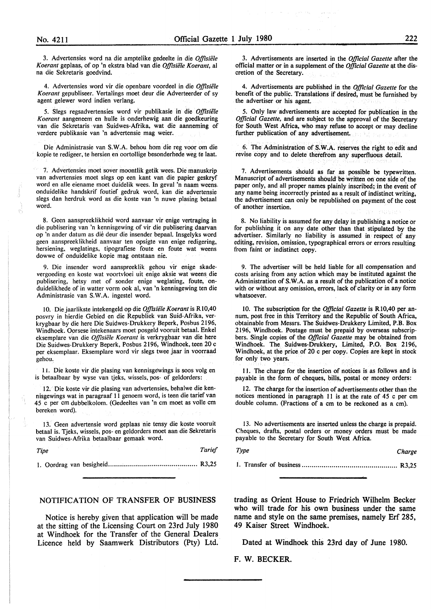3. Advertensies word na die amptelike gedeelte in die *Offisiele Koerant* geplaas, of op 'n ekstra blad van die *Offisiele Koerant,* al na die Sekretaris goedvind.

4. Advertensies word vir die openbare voordeel in die *Offisie1e Koerant* gepubliseer. Vertalings moet deur die Adverteerder of sy agent gelewer word indien verlang.

*5.* Slegs regsadvertensies word vir publikasie in die *Offisiele Koerant* aangeneem en hulle is onderhewig aan die goedkeuring van die Sekretaris van Suidwes-Afrika, wat die aanneming of verdere publikasie van 'n advertensie mag weier.

Die Administrasie van **S. W.A.** behou horn die reg voor om die kopie te redigeer, te hersien en oortollige besonderhede weg te laat.

7. Advertensies moet sover moontlik getik wees. Die manuskrip van advertensies moet slegs op een kant van die papier geskryf word en alle eiename moet duidelik wees. In geval 'n naam weens. onduidelike handskrif foutief gedruk word, kan die advertensie slegs dan herdruk word as die koste van 'n nuwe plasing betaal word.

8. Geen aanspreeklikheid word aanvaar vir enige vertraging in die. publisering van 'n kennisgewing of vir die publisering daarvan op 'n ander datum as die deur die insender bepaal. Insgelyks word geen aanspreeklikheid aanvaar ten opsigte van enige redigering, hersiening, weglatings, tipografiese foute en foute wat weens dowwe of onduidelike kopie mag ontstaan nie.

9. Die insender word aanspreeklik gehou vir enige skadevergoeding en koste wat voortvloei uit enige aksie wat weens\_ die publisering, hetsy met of sonder enige weglating, foute, onduidelikhede of in watter vorm ook al, van 'n kennisgewing ten die Administrasie van **S. W.A.** ingestel word.

I 0. Die jaarlikste intekengeld op die *Offisiele Koerant* is R 10,40 posvry in hierdie Gebied en die Republiek van Suid-Afrika, verkrygbaar by die here Die Suidwes-Drukkery Beperk, Posbus 2196, Windhoek. Oorsese intekenaars moet posgeld vooruit betaal. Enke! eksemplare van die *Offisiele Koerant* is verkrygbaar van die here Die Suidwes-Drukkery Beperk, Posbus 2196, Windhoek, teen 20 c per eksemplaar. Eksemplare word vir slegs twee jaar in voorraad gehou.

I L Die koste vir die plasing van kennisgewings is soos volg en is betaalbaar by wyse van tjeks, wissels, pos- of geldorders:

12. Die koste vir die plasing van advertensies, behalwe die kennisgewings wat in paragraaf 11 genoem word, is teen die tarief van 45 c per cm dubbelkolom. (Gedeeltes van 'n cm moet as voile cm bereken word).

13. Geen advertensie word geplaas nie tensy die koste vooruit betaal is. Tjeks, wissels, pos- en geldorders moet aan die Sekretaris van Suidwes-Afrika betaalbaar gemaak word.

*Tipe Tarief*  I. Oordrag van besigheid ............................................. R3,25

#### NOTIFICATION OF TRANSFER OF BUSINESS

Notice is hereby given that application will be made at the sitting of the Licensing Court on 23rd July 1980 at Windhoek for the Transfer of the General Dealers Licence held by Saamwerk Distributors (Pty) Ltd.

3. Advertisements are inserted in the *Official Gazette* after the official matter or in a supplement of the *Official Gazette* at the discretion of the Secretary.

4. Advertisements are published in the *Official Gazette* for the benefit of the public. Translations if desired, must be furnished by the advertiser or his agent.

*5.* Only law advertisements are accepted for publication in the *Official Gazette,* and are subject to the approval of the Secretary for South West Africa, who may refuse to accept or may decline further publication of any advertisement.

6. The Administration of **S.W.A.** reserves the right to edit and revise copy and to delete therefrom any superfluous detail.

7. Advertisements should as far as possible be typewritten. Manuscript of advertisements should be written on one side of the paper only, and all proper names plainly inscribed; in the event of any name being incorrectly printed as a result of indistinct writing, the advertisement can only be republished on payment of the cost of another insertion.

8. No liability is assumed for any delay in publishing a notice or for publishing it on any date other than that stipulated by the advertiser. Similarly no liability is assumed in respect of any editing, revision, omission, typographical errors or errors resulting from faint or indistinct copy.

9. The advertiser will be held liable for all compensation and costs arising from any action which may be instituted against the Administration of **S.W.A.** as a result of the publication of a notice with or without any omission, errors, lack of clarity or in any form whatsoever.

10. The subscription for the *Official Gazette* is **R** 10,40 per annum, post free in this Territory and the Republic of South Africa, obtainable from Messrs. The Suidwes-Drukkery Limited, P.B. Box 2196, Windhoek. Postage must be prepaid by overseas subscripbers. Single copies of the *Official Gazette* may be obtained from Windhoek. The **Suidwes-Drukkery,** Limited, **P.O. Box** 2196, Windhoek, at the price of 20 c per copy. Copies are kept in stock for only two years.

11. The charge for the insertion of notices is as follows and is payable in the form of cheques, bills, postal or money orders:

12. The charge for the insertion of advertisements other than the notices mentioned in paragraph 11 is at the rate of 45 c per cm double column. (Fractions of a cm to be reckoned as a cm).

13. No advertisements are inserted unless the charge is prepaid. Cheques, drafts, postal orders or money orders must be made payable to the Secretary for South West Africa.

*Type Charge* 

I. Transfer of business ................................................ R3,25

trading as Orient House to Friedrich Wilhelm Becker who will trade for his own business under the same name and style on the same premises, namely Erf 285, 49 Kaiser Street Windhoek.

Dated at Windhoek this 23rd day of June 1980.

F. W. BECKER.